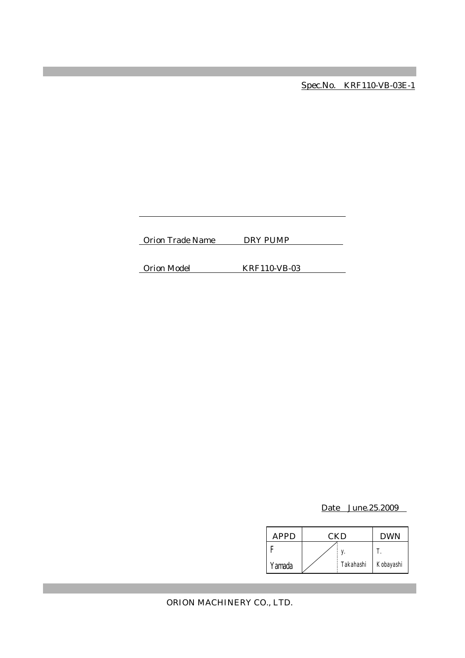Spec.No. KRF110-VB-03E-1

Orion Trade Name DRY PUMP

Orion Model KRF110-VB-03

Date June.25.2009

| APPD   | CKD |           | <b>DWN</b> |
|--------|-----|-----------|------------|
|        |     |           |            |
| Yamada |     | Takahashi | Kobayashi  |

ORION MACHINERY CO., LTD.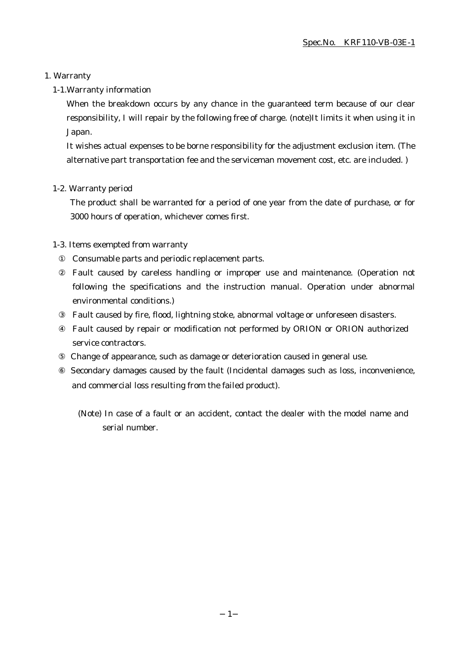# 1. Warranty

# 1-1.Warranty information

When the breakdown occurs by any chance in the guaranteed term because of our clear responsibility, I will repair by the following free of charge. (note)It limits it when using it in Japan.

It wishes actual expenses to be borne responsibility for the adjustment exclusion item. (The alternative part transportation fee and the serviceman movement cost, etc. are included. )

# 1-2. Warranty period

The product shall be warranted for a period of one year from the date of purchase, or for 3000 hours of operation, whichever comes first.

# 1-3. Items exempted from warranty

Consumable parts and periodic replacement parts.

Fault caused by careless handling or improper use and maintenance. (Operation not following the specifications and the instruction manual. Operation under abnormal environmental conditions.)

Fault caused by fire, flood, lightning stoke, abnormal voltage or unforeseen disasters.

Fault caused by repair or modification not performed by ORION or ORION authorized service contractors.

Change of appearance, such as damage or deterioration caused in general use.

 Secondary damages caused by the fault (Incidental damages such as loss, inconvenience, and commercial loss resulting from the failed product).

(Note) In case of a fault or an accident, contact the dealer with the model name and serial number.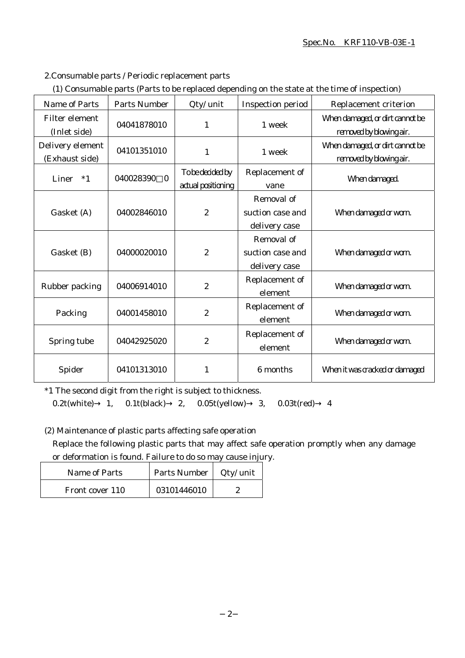#### Spec.No. KRF110-VB-03E-1

2.Consumable parts / Periodic replacement parts

|  | (1) Consumable parts (Parts to be replaced depending on the state at the time of inspection) |  |
|--|----------------------------------------------------------------------------------------------|--|
|  |                                                                                              |  |

| <b>Name of Parts</b>               | <b>Parts Number</b>       | Qty/ unit                              | <b>Inspection period</b>                        | Replacement criterion                                      |
|------------------------------------|---------------------------|----------------------------------------|-------------------------------------------------|------------------------------------------------------------|
| Filter element<br>(Inlet side)     | 04041878010               | 1                                      | 1 week                                          | When damaged, or dirt cannot be<br>removed by blowing air. |
| Delivery element<br>(Exhaust side) | 04101351010               | $\mathbf{1}$                           | 1 week                                          | When damaged, or dirt cannot be<br>removed by blowing air. |
| Liner<br>$*1$                      | 040028390<br>$\mathbf{0}$ | To be decided by<br>actual positioning | Replacement of<br>vane                          | When damaged.                                              |
| Gasket (A)                         | 04002846010               | $\boldsymbol{2}$                       | Removal of<br>suction case and<br>delivery case | When damaged or worn.                                      |
| Gasket (B)                         | 04000020010               | $\overline{2}$                         | Removal of<br>suction case and<br>delivery case | When damaged or worn.                                      |
| Rubber packing                     | 04006914010               | $\boldsymbol{2}$                       | Replacement of<br>element                       | When damaged or worn.                                      |
| Packing                            | 04001458010               | $\boldsymbol{2}$                       | Replacement of<br>element                       | When damaged or worn.                                      |
| Spring tube                        | 04042925020               | $\overline{2}$                         | Replacement of<br>element                       | When damaged or worn.                                      |
| Spider                             | 04101313010               | 1                                      | 6 months                                        | When it was cracked or damaged                             |

\*1 The second digit from the right is subject to thickness.

0.2t(white) 1, 0.1t(black) 2, 0.05t(yellow) 3, 0.03t(red) 4

(2) Maintenance of plastic parts affecting safe operation

Replace the following plastic parts that may affect safe operation promptly when any damage or deformation is found. Failure to do so may cause injury.

| Name of Parts   | Parts Number | Qty/ unit |
|-----------------|--------------|-----------|
| Front cover 110 | 03101446010  |           |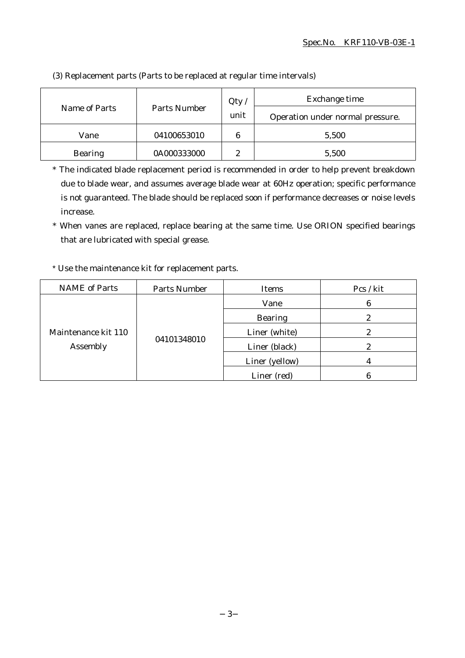|                |              | Qty  | Exchange time                    |  |
|----------------|--------------|------|----------------------------------|--|
| Name of Parts  | Parts Number | unit | Operation under normal pressure. |  |
| Vane           | 04100653010  | 6    | 5,500                            |  |
| <b>Bearing</b> | 0A000333000  | 2    | 5,500                            |  |

(3) Replacement parts (Parts to be replaced at regular time intervals)

\* The indicated blade replacement period is recommended in order to help prevent breakdown due to blade wear, and assumes average blade wear at 60Hz operation; specific performance is not guaranteed. The blade should be replaced soon if performance decreases or noise levels increase.

\* When vanes are replaced, replace bearing at the same time. Use ORION specified bearings that are lubricated with special grease.

# \* Use the maintenance kit for replacement parts.

| <b>NAME</b> of Parts            | Parts Number | Items          | Pcs / kit |
|---------------------------------|--------------|----------------|-----------|
| Maintenance kit 110<br>Assembly | 04101348010  | Vane           | 6         |
|                                 |              | <b>Bearing</b> | 2         |
|                                 |              | Liner (white)  | 2         |
|                                 |              | Liner (black)  | 9         |
|                                 |              | Liner (yellow) |           |
|                                 |              | Liner (red)    |           |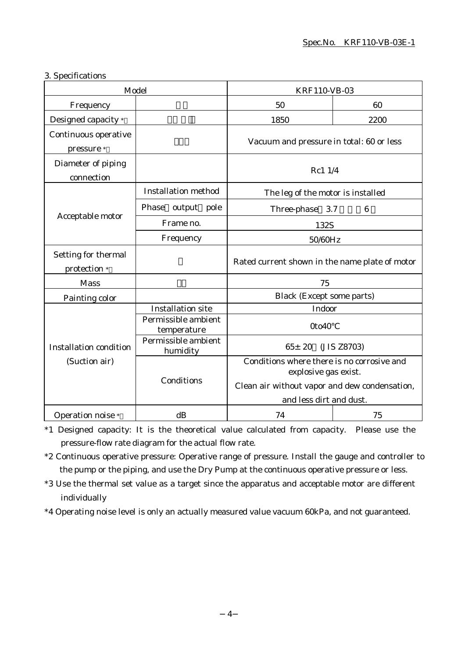# 3. Specifications

| Model                               |                                    | <b>KRF110-VB-03</b>                                                                              |                 |
|-------------------------------------|------------------------------------|--------------------------------------------------------------------------------------------------|-----------------|
| Frequency                           |                                    | 50<br>60                                                                                         |                 |
| Designed capacity *                 |                                    | 1850                                                                                             | 2200            |
| Continuous operative<br>pressure *  |                                    | Vacuum and pressure in total: 60 or less                                                         |                 |
| Diameter of piping<br>connection    |                                    | Rc1 1/4                                                                                          |                 |
|                                     | <b>Installation method</b>         | The leg of the motor is installed                                                                |                 |
|                                     | Phase output pole                  | Three-phase<br>3.7                                                                               | $6\phantom{1}6$ |
| Acceptable motor                    | Frame no.                          | 132S                                                                                             |                 |
|                                     | Frequency                          | 50/60Hz                                                                                          |                 |
| Setting for thermal<br>protection * |                                    | Rated current shown in the name plate of motor                                                   |                 |
| <b>Mass</b>                         |                                    | 75                                                                                               |                 |
| Painting color                      |                                    | <b>Black (Except some parts)</b>                                                                 |                 |
|                                     | <b>Installation site</b>           | Indoor                                                                                           |                 |
|                                     | Permissible ambient<br>temperature | 0to40                                                                                            |                 |
| <b>Installation condition</b>       | Permissible ambient<br>humidity    | $65 \pm 20$<br>(JIS Z8703)<br>Conditions where there is no corrosive and<br>explosive gas exist. |                 |
| (Suction air)                       |                                    |                                                                                                  |                 |
|                                     | Conditions                         | Clean air without vapor and dew condensation,<br>and less dirt and dust.                         |                 |
| Operation noise *                   | dB                                 | 74                                                                                               | 75              |

\*1 Designed capacity: It is the theoretical value calculated from capacity. Please use the pressure-flow rate diagram for the actual flow rate.

\*2 Continuous operative pressure: Operative range of pressure. Install the gauge and controller to the pump or the piping, and use the Dry Pump at the continuous operative pressure or less.

\*3 Use the thermal set value as a target since the apparatus and acceptable motor are different individually

\*4 Operating noise level is only an actually measured value vacuum 60kPa, and not guaranteed.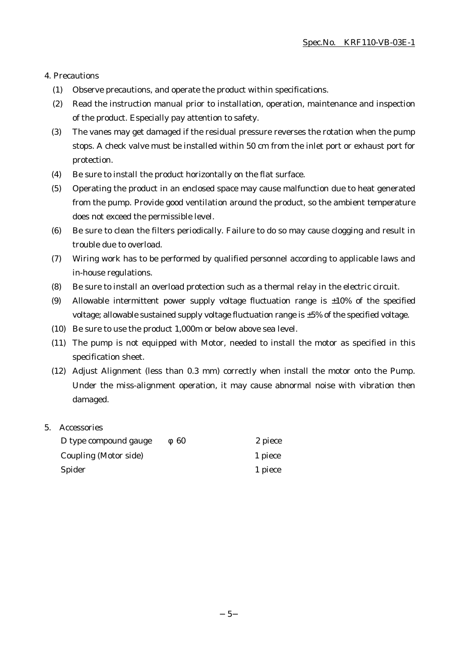### 4. Precautions

- (1) Observe precautions, and operate the product within specifications.
- (2) Read the instruction manual prior to installation, operation, maintenance and inspection of the product. Especially pay attention to safety.
- (3) The vanes may get damaged if the residual pressure reverses the rotation when the pump stops. A check valve must be installed within 50 cm from the inlet port or exhaust port for protection.
- (4) Be sure to install the product horizontally on the flat surface.
- (5) Operating the product in an enclosed space may cause malfunction due to heat generated from the pump. Provide good ventilation around the product, so the ambient temperature does not exceed the permissible level.
- (6) Be sure to clean the filters periodically. Failure to do so may cause clogging and result in trouble due to overload.
- (7) Wiring work has to be performed by qualified personnel according to applicable laws and in-house regulations.
- (8) Be sure to install an overload protection such as a thermal relay in the electric circuit.
- (9) Allowable intermittent power supply voltage fluctuation range is  $\pm 10\%$  of the specified voltage; allowable sustained supply voltage fluctuation range is ±5% of the specified voltage.
- (10) Be sure to use the product 1,000m or below above sea level.
- (11) The pump is not equipped with Motor, needed to install the motor as specified in this specification sheet.
- (12) Adjust Alignment (less than 0.3 mm) correctly when install the motor onto the Pump. Under the miss-alignment operation, it may cause abnormal noise with vibration then damaged.

### 5. Accessories

| D type compound gauge | 60 | 2 piece |
|-----------------------|----|---------|
| Coupling (Motor side) |    | 1 piece |
| Spider                |    | 1 piece |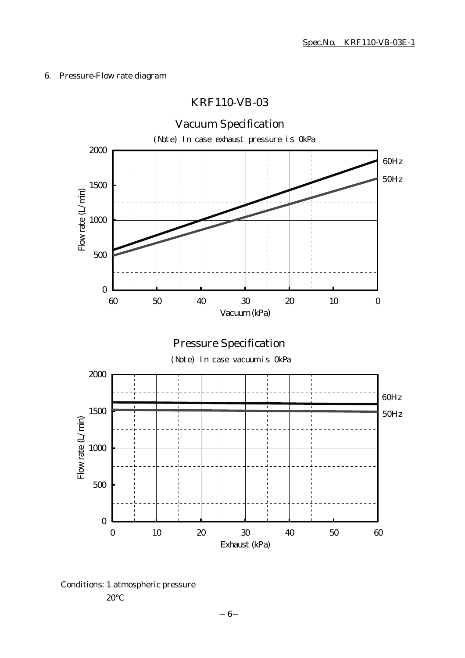# 6. Pressure-Flow rate diagram

# KRF110-VB-03



Conditions: 1 atmospheric pressure

20